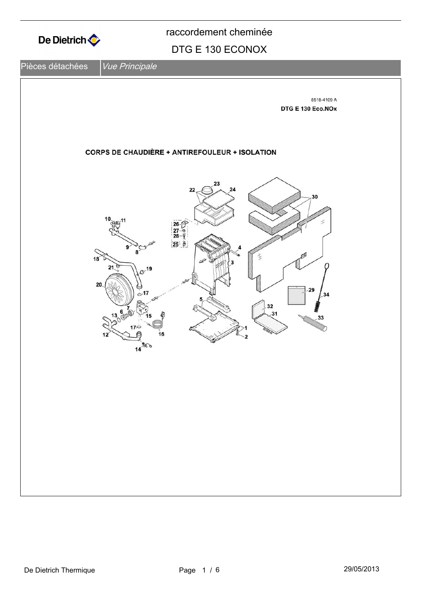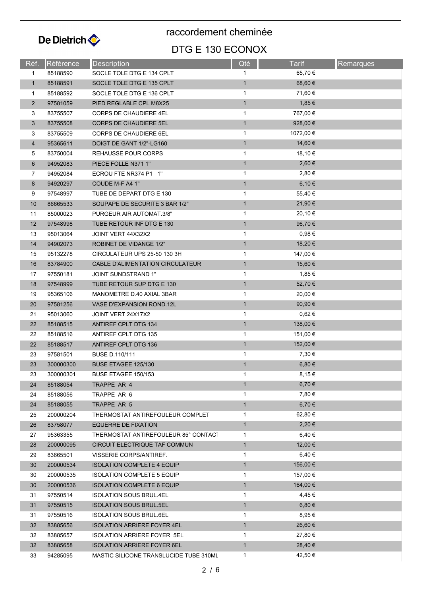

raccordement cheminée

## DTG E 130 ECONOX

| Réf.           | Référence | <b>Description</b>                     | Qté          | Tarif      | <b>Remarques</b> |
|----------------|-----------|----------------------------------------|--------------|------------|------------------|
| $\mathbf{1}$   | 85188590  | SOCLE TOLE DTG E 134 CPLT              | $\mathbf{1}$ | 65,70 €    |                  |
| $\mathbf{1}$   | 85188591  | SOCLE TOLE DTG E 135 CPLT              | $\mathbf{1}$ | 68,60 €    |                  |
| 1              | 85188592  | SOCLE TOLE DTG E 136 CPLT              | 1            | 71,60 €    |                  |
| $\overline{2}$ | 97581059  | PIED REGLABLE CPL M8X25                | $\mathbf{1}$ | 1,85 €     |                  |
| 3              | 83755507  | <b>CORPS DE CHAUDIERE 4EL</b>          | 1            | 767,00 €   |                  |
| 3              | 83755508  | <b>CORPS DE CHAUDIERE 5EL</b>          | $\mathbf{1}$ | 928,00 €   |                  |
| 3              | 83755509  | CORPS DE CHAUDIERE 6EL                 | 1            | 1072,00 €  |                  |
| 4              | 95365611  | DOIGT DE GANT 1/2"-LG160               | $\mathbf{1}$ | 14,60 €    |                  |
| 5              | 83750004  | REHAUSSE POUR CORPS                    | 1            | 18,10 €    |                  |
| 6              | 94952083  | PIECE FOLLE N371 1"                    | $\mathbf{1}$ | 2,60€      |                  |
| 7              | 94952084  | ECROU FTE NR374 P1 1"                  | 1            | 2,80€      |                  |
| 8              | 94920297  | COUDE M-F A4 1"                        | $\mathbf{1}$ | 6,10€      |                  |
| 9              | 97548997  | TUBE DE DEPART DTG E 130               | 1            | 55,40 €    |                  |
| 10             | 86665533  | SOUPAPE DE SECURITE 3 BAR 1/2"         | $\mathbf{1}$ | 21,90 €    |                  |
| 11             | 85000023  | PURGEUR AIR AUTOMAT.3/8"               | 1            | 20,10 €    |                  |
| 12             | 97548998  | TUBE RETOUR INF DTG E 130              | $\mathbf{1}$ | 96,70 €    |                  |
| 13             | 95013064  | JOINT VERT 44X32X2                     | 1            | $0,98 \in$ |                  |
| 14             | 94902073  | ROBINET DE VIDANGE 1/2"                | $\mathbf{1}$ | 18,20 €    |                  |
| 15             | 95132278  | CIRCULATEUR UPS 25-50 130 3H           | 1            | 147,00 €   |                  |
| 16             | 83784900  | CABLE D'ALIMENTATION CIRCULATEUR       | $\mathbf{1}$ | 15,60 €    |                  |
| 17             | 97550181  | <b>JOINT SUNDSTRAND 1"</b>             | $\mathbf{1}$ | 1,85 €     |                  |
| 18             | 97548999  | TUBE RETOUR SUP DTG E 130              | $\mathbf{1}$ | 52,70 €    |                  |
| 19             | 95365106  | MANOMETRE D.40 AXIAL 3BAR              | 1            | 20,00 €    |                  |
| 20             | 97581256  | VASE D'EXPANSION ROND.12L              | $\mathbf{1}$ | 90,90 €    |                  |
| 21             | 95013060  | JOINT VERT 24X17X2                     | 1            | $0,62 \in$ |                  |
| 22             | 85188515  | ANTIREF CPLT DTG 134                   | $\mathbf{1}$ | 138,00 €   |                  |
| 22             | 85188516  | ANTIREF CPLT DTG 135                   | 1            | 151,00 €   |                  |
| 22             | 85188517  | <b>ANTIREF CPLT DTG 136</b>            | $\mathbf{1}$ | 152,00 €   |                  |
| 23             | 97581501  | BUSE D.110/111                         | 1            | 7,30 €     |                  |
| 23             | 300000300 | BUSE ETAGEE 125/130                    | $\mathbf{1}$ | 6,80 €     |                  |
| 23             | 300000301 | BUSE ETAGEE 150/153                    | 1            | 8,15 €     |                  |
| 24             | 85188054  | TRAPPE AR 4                            | $\mathbf{1}$ | 6,70 €     |                  |
| 24             | 85188056  | TRAPPE AR 6                            | 1            | 7,80 €     |                  |
| 24             | 85188055  | TRAPPE AR 5                            | $\mathbf{1}$ | 6,70 €     |                  |
| 25             | 200000204 | THERMOSTAT ANTIREFOULEUR COMPLET       | 1            | 62,80 €    |                  |
| 26             | 83758077  | <b>EQUERRE DE FIXATION</b>             | $\mathbf{1}$ | 2,20€      |                  |
| 27             | 95363355  | THERMOSTAT ANTIREFOULEUR 85° CONTACT   | 1            | 6,40 €     |                  |
| 28             | 200000095 | CIRCUIT ELECTRIQUE TAF COMMUN          | $\mathbf{1}$ | 12,00 €    |                  |
| 29             | 83665501  | VISSERIE CORPS/ANTIREF.                | $\mathbf{1}$ | 6,40 €     |                  |
| 30             | 200000534 | <b>ISOLATION COMPLETE 4 EQUIP</b>      | $\mathbf{1}$ | 156,00 €   |                  |
| 30             | 200000535 | <b>ISOLATION COMPLETE 5 EQUIP</b>      | 1            | 157,00 €   |                  |
| 30             | 200000536 | <b>ISOLATION COMPLETE 6 EQUIP</b>      | $\mathbf{1}$ | 164,00 €   |                  |
| 31             | 97550514  | <b>ISOLATION SOUS BRUL.4EL</b>         | 1            | 4,45 €     |                  |
| 31             | 97550515  | <b>ISOLATION SOUS BRUL.5EL</b>         | $\mathbf{1}$ | 6,80 €     |                  |
| 31             | 97550516  | <b>ISOLATION SOUS BRUL 6EL</b>         | 1            | 8,95 €     |                  |
| 32             | 83885656  | <b>ISOLATION ARRIERE FOYER 4EL</b>     | $\mathbf{1}$ | 26,60 €    |                  |
| 32             | 83885657  | ISOLATION ARRIERE FOYER 5EL            | 1            | 27,80 €    |                  |
| 32             | 83885658  | <b>ISOLATION ARRIERE FOYER 6EL</b>     | $\mathbf{1}$ | 28,40 €    |                  |
| 33             | 94285095  | MASTIC SILICONE TRANSLUCIDE TUBE 310ML | $\mathbf{1}$ | 42,50 €    |                  |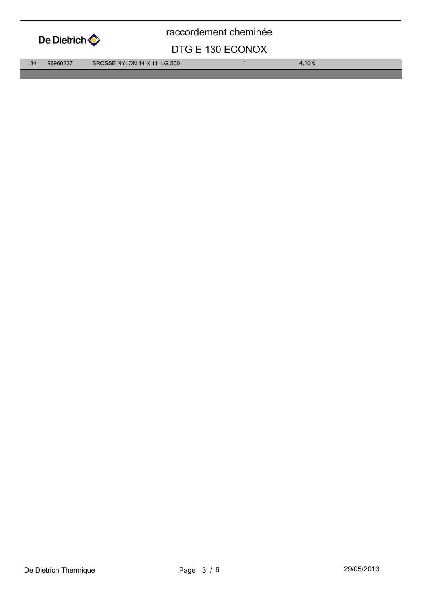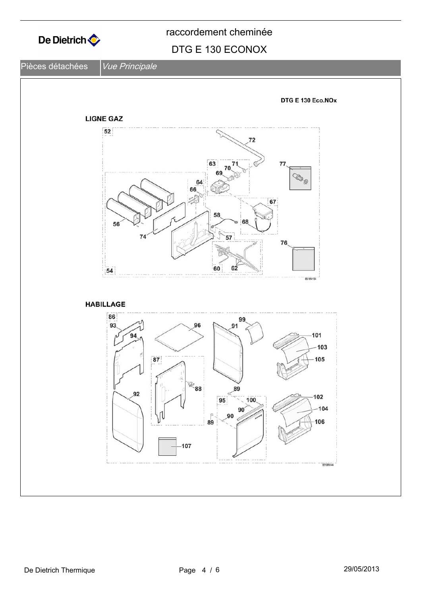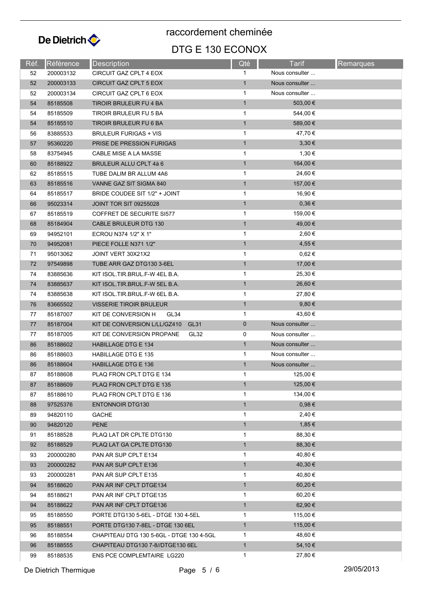

raccordement cheminée

## DTG E 130 ECONOX

| Réf. | Référence            | Description                                          | Qté          | Tarif             | <b>Remarques</b> |
|------|----------------------|------------------------------------------------------|--------------|-------------------|------------------|
| 52   | 200003132            | CIRCUIT GAZ CPLT 4 EOX                               | $\mathbf{1}$ | Nous consulter    |                  |
| 52   | 200003133            | CIRCUIT GAZ CPLT 5 EOX                               | $\mathbf{1}$ | Nous consulter    |                  |
| 52   | 200003134            | CIRCUIT GAZ CPLT 6 EOX                               | 1            | Nous consulter    |                  |
| 54   | 85185508             | TIROIR BRULEUR FU 4 BA                               | $\mathbf{1}$ | 503,00 €          |                  |
| 54   | 85185509             | TIROIR BRULEUR FU 5 BA                               | 1            | 544,00 €          |                  |
| 54   | 85185510             | TIROIR BRULEUR FU 6 BA                               | $\mathbf{1}$ | 589,00 €          |                  |
| 56   | 83885533             | <b>BRULEUR FURIGAS + VIS</b>                         | $\mathbf{1}$ | 47,70 €           |                  |
| 57   | 95360220             | PRISE DE PRESSION FURIGAS                            | $\mathbf{1}$ | 3,30€             |                  |
| 58   | 83754945             | CABLE MISE A LA MASSE                                | $\mathbf{1}$ | 1,30 €            |                  |
| 60   | 85188922             | BRULEUR ALLU CPLT 4à 6                               | $\mathbf{1}$ | 164,00 €          |                  |
| 62   | 85185515             | TUBE DALIM BR ALLUM 4A6                              | 1            | 24,60 €           |                  |
| 63   | 85185516             | VANNE GAZ SIT SIGMA 840                              | $\mathbf{1}$ | 157,00 €          |                  |
| 64   | 85185517             | BRIDE COUDEE SIT 1/2" + JOINT                        | 1            | 16,90 €           |                  |
| 66   | 95023314             | <b>JOINT TOR SIT 09255028</b>                        | $\mathbf{1}$ | 0,36€             |                  |
| 67   | 85185519             | COFFRET DE SECURITE SI577                            | $\mathbf{1}$ | 159,00 €          |                  |
| 68   | 85184904             | <b>CABLE BRULEUR DTG 130</b>                         | $\mathbf{1}$ | 49,00 €           |                  |
| 69   | 94952101             | ECROU N374 1/2" X 1"                                 | $\mathbf{1}$ | 2,60 €            |                  |
| 70   | 94952081             | PIECE FOLLE N371 1/2"                                | $\mathbf{1}$ | 4,55 €            |                  |
| 71   | 95013062             | JOINT VERT 30X21X2                                   | $\mathbf{1}$ | $0,62 \in$        |                  |
| 72   | 97549898             | TUBE ARR GAZ DTG130 3-6EL                            | $\mathbf{1}$ | 17,00 €           |                  |
| 74   | 83885636             | KIT ISOL.TIR.BRUL.F-W 4EL B.A.                       | 1            | 25,30 €           |                  |
| 74   | 83885637             | KIT ISOL.TIR.BRUL.F-W 5EL B.A.                       | $\mathbf{1}$ | 26,60 €           |                  |
| 74   | 83885638             | KIT ISOL.TIR.BRUL.F-W 6EL B.A.                       | $\mathbf{1}$ | 27,80 €           |                  |
| 76   | 83665502             | <b>VISSERIE TIROIR BRULEUR</b>                       | $\mathbf{1}$ | $9,80 \in$        |                  |
| 77   | 85187007             | KIT DE CONVERSION H<br>GL34                          | $\mathbf{1}$ | 43,60 €           |                  |
| 77   | 85187004             | KIT DE CONVERSION L/LL/GZ410<br>GL31                 | $\mathbf 0$  | Nous consulter    |                  |
| 77   | 85187005             | KIT DE CONVERSION PROPANE<br>GL32                    | 0            | Nous consulter    |                  |
| 86   | 85188602             | <b>HABILLAGE DTG E 134</b>                           | $\mathbf{1}$ | Nous consulter    |                  |
| 86   | 85188603             | HABILLAGE DTG E 135                                  | $\mathbf{1}$ | Nous consulter    |                  |
| 86   | 85188604             | <b>HABILLAGE DTG E 136</b>                           | $\mathbf{1}$ | Nous consulter    |                  |
| 87   |                      |                                                      | 1            | 125,00 €          |                  |
| 87   | 85188608<br>85188609 | PLAQ FRON CPLT DTG E 134<br>PLAQ FRON CPLT DTG E 135 | $\mathbf{1}$ | 125,00 €          |                  |
|      |                      |                                                      | 1            | 134,00 €          |                  |
| 87   | 85188610             | PLAQ FRON CPLT DTG E 136                             | $\mathbf{1}$ | 0,98€             |                  |
| 88   | 97525376             | <b>ENTONNOIR DTG130</b>                              |              | 2,40€             |                  |
| 89   | 94820110             | <b>GACHE</b>                                         | 1            |                   |                  |
| 90   | 94820120             | <b>PENE</b>                                          | $\mathbf{1}$ | 1,85 €<br>88,30 € |                  |
| 91   | 85188528             | PLAQ LAT DR CPLTE DTG130                             | $\mathbf{1}$ |                   |                  |
| 92   | 85188529             | PLAQ LAT GA CPLTE DTG130                             | $\mathbf{1}$ | 88,30 €           |                  |
| 93   | 200000280            | PAN AR SUP CPLT E134                                 | 1            | 40,80 €           |                  |
| 93   | 200000282            | PAN AR SUP CPLT E136                                 | $\mathbf{1}$ | 40,30 €           |                  |
| 93   | 200000281            | PAN AR SUP CPLT E135                                 | $\mathbf{1}$ | 40,80 €           |                  |
| 94   | 85188620             | PAN AR INF CPLT DTGE134                              | $\mathbf{1}$ | 60,20 €           |                  |
| 94   | 85188621             | PAN AR INF CPLT DTGE135                              | 1            | 60,20 €           |                  |
| 94   | 85188622             | PAN AR INF CPLT DTGE136                              | $\mathbf{1}$ | 62,90 €           |                  |
| 95   | 85188550             | PORTE DTG130 5-6EL - DTGE 130 4-5EL                  | $\mathbf{1}$ | 115,00 €          |                  |
| 95   | 85188551             | PORTE DTG130 7-8EL - DTGE 130 6EL                    | $\mathbf{1}$ | 115,00 €          |                  |
| 96   | 85188554             | CHAPITEAU DTG 130 5-6GL - DTGE 130 4-5GL             | $\mathbf{1}$ | 48,60 €           |                  |
| 96   | 85188555             | CHAPITEAU DTG130 7-8//DTGE130 6EL                    | $\mathbf{1}$ | 54,10 €           |                  |
| 99   | 85188535             | <b>ENS PCE COMPLEMTAIRE LG220</b>                    | $\mathbf{1}$ | 27,80 €           |                  |